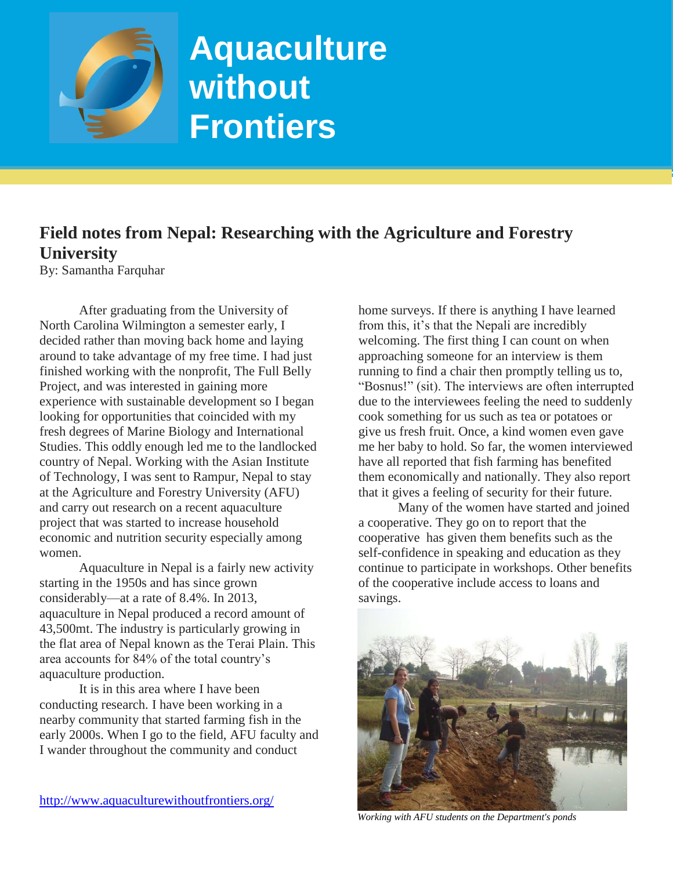

## **Aquaculture without Frontiers**

## **Field notes from Nepal: Researching with the Agriculture and Forestry University**

By: Samantha Farquhar

After graduating from the University of North Carolina Wilmington a semester early, I decided rather than moving back home and laying around to take advantage of my free time. I had just finished working with the nonprofit, The Full Belly Project, and was interested in gaining more experience with sustainable development so I began looking for opportunities that coincided with my fresh degrees of Marine Biology and International Studies. This oddly enough led me to the landlocked country of Nepal. Working with the Asian Institute of Technology, I was sent to Rampur, Nepal to stay at the Agriculture and Forestry University (AFU) and carry out research on a recent aquaculture project that was started to increase household economic and nutrition security especially among women.

Aquaculture in Nepal is a fairly new activity starting in the 1950s and has since grown considerably—at a rate of 8.4%. In 2013, aquaculture in Nepal produced a record amount of 43,500mt. The industry is particularly growing in the flat area of Nepal known as the Terai Plain. This area accounts for 84% of the total country's aquaculture production.

It is in this area where I have been conducting research. I have been working in a nearby community that started farming fish in the early 2000s. When I go to the field, AFU faculty and I wander throughout the community and conduct

home surveys. If there is anything I have learned from this, it's that the Nepali are incredibly welcoming. The first thing I can count on when approaching someone for an interview is them running to find a chair then promptly telling us to, "Bosnus!" (sit). The interviews are often interrupted due to the interviewees feeling the need to suddenly cook something for us such as tea or potatoes or give us fresh fruit. Once, a kind women even gave me her baby to hold. So far, the women interviewed have all reported that fish farming has benefited them economically and nationally. They also report that it gives a feeling of security for their future.

Many of the women have started and joined a cooperative. They go on to report that the cooperative has given them benefits such as the self-confidence in speaking and education as they continue to participate in workshops. Other benefits of the cooperative include access to loans and savings.



*Working with AFU students on the Department's ponds*